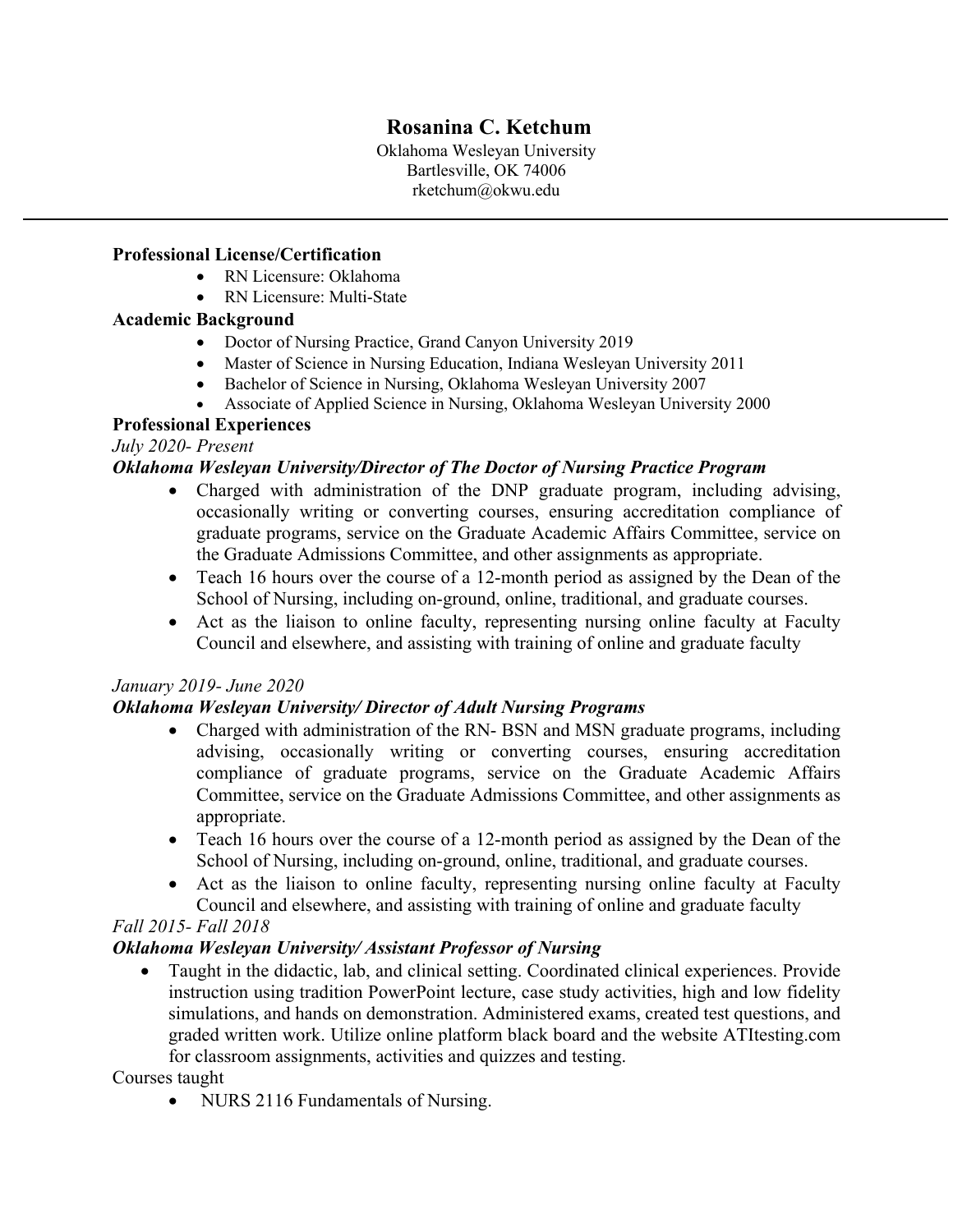# **Rosanina C. Ketchum**

Oklahoma Wesleyan University Bartlesville, OK 74006 rketchum@okwu.edu

### **Professional License/Certification**

- RN Licensure: Oklahoma
- RN Licensure: Multi-State

## **Academic Background**

- Doctor of Nursing Practice, Grand Canyon University 2019
- Master of Science in Nursing Education, Indiana Wesleyan University 2011
- Bachelor of Science in Nursing, Oklahoma Wesleyan University 2007
- Associate of Applied Science in Nursing, Oklahoma Wesleyan University 2000

## **Professional Experiences**

## *July 2020- Present*

## *Oklahoma Wesleyan University/Director of The Doctor of Nursing Practice Program*

- Charged with administration of the DNP graduate program, including advising, occasionally writing or converting courses, ensuring accreditation compliance of graduate programs, service on the Graduate Academic Affairs Committee, service on the Graduate Admissions Committee, and other assignments as appropriate.
- Teach 16 hours over the course of a 12-month period as assigned by the Dean of the School of Nursing, including on-ground, online, traditional, and graduate courses.
- Act as the liaison to online faculty, representing nursing online faculty at Faculty Council and elsewhere, and assisting with training of online and graduate faculty

## *January 2019- June 2020*

## *Oklahoma Wesleyan University/ Director of Adult Nursing Programs*

- Charged with administration of the RN- BSN and MSN graduate programs, including advising, occasionally writing or converting courses, ensuring accreditation compliance of graduate programs, service on the Graduate Academic Affairs Committee, service on the Graduate Admissions Committee, and other assignments as appropriate.
- Teach 16 hours over the course of a 12-month period as assigned by the Dean of the School of Nursing, including on-ground, online, traditional, and graduate courses.
- Act as the liaison to online faculty, representing nursing online faculty at Faculty Council and elsewhere, and assisting with training of online and graduate faculty

## *Fall 2015- Fall 2018*

## *Oklahoma Wesleyan University/ Assistant Professor of Nursing*

• Taught in the didactic, lab, and clinical setting. Coordinated clinical experiences. Provide instruction using tradition PowerPoint lecture, case study activities, high and low fidelity simulations, and hands on demonstration. Administered exams, created test questions, and graded written work. Utilize online platform black board and the website ATItesting.com for classroom assignments, activities and quizzes and testing.

Courses taught

• NURS 2116 Fundamentals of Nursing.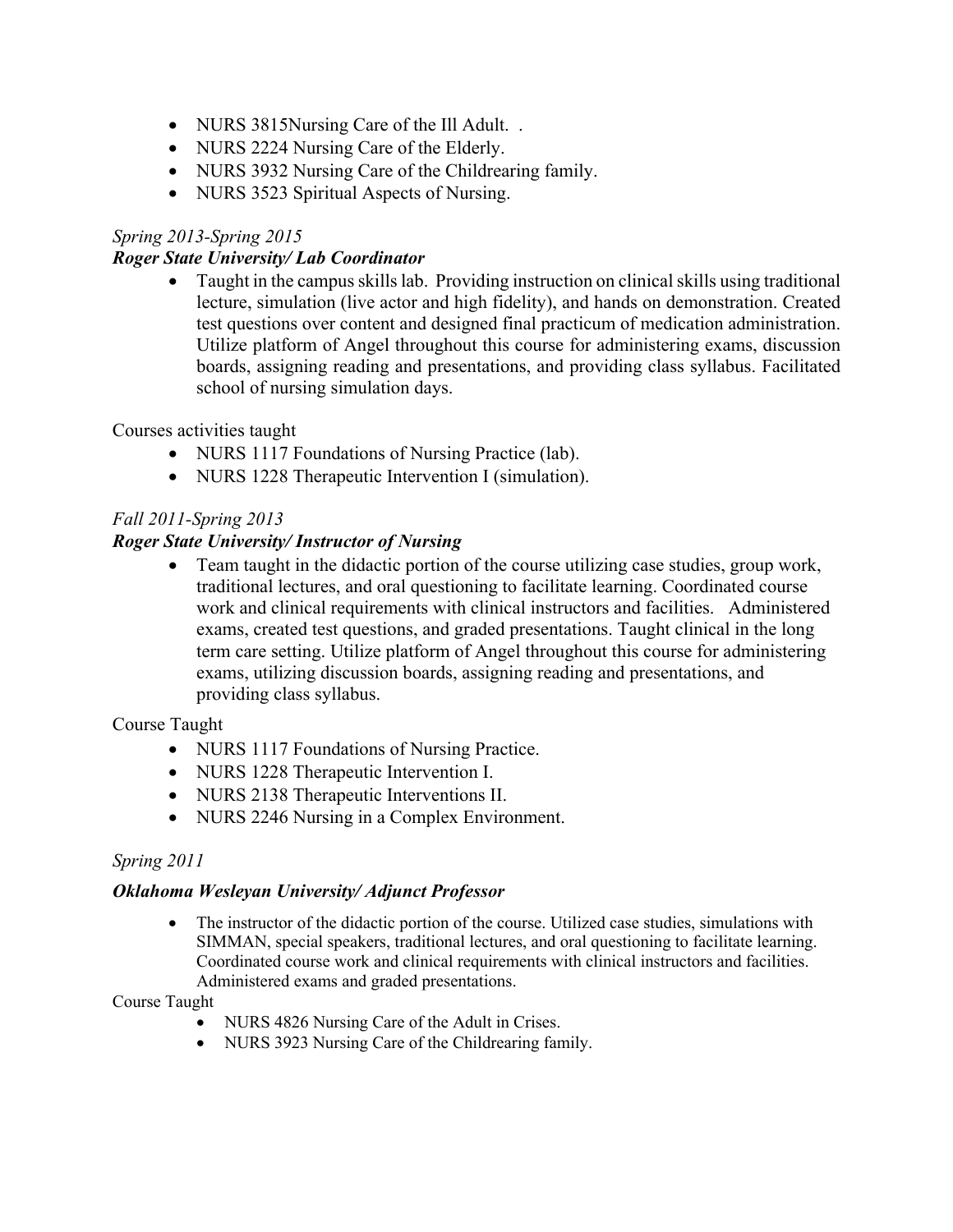- NURS 3815Nursing Care of the Ill Adult..
- NURS 2224 Nursing Care of the Elderly.
- NURS 3932 Nursing Care of the Childrearing family.
- NURS 3523 Spiritual Aspects of Nursing.

## *Spring 2013-Spring 2015*

### *Roger State University/ Lab Coordinator*

• Taught in the campus skills lab. Providing instruction on clinical skills using traditional lecture, simulation (live actor and high fidelity), and hands on demonstration. Created test questions over content and designed final practicum of medication administration. Utilize platform of Angel throughout this course for administering exams, discussion boards, assigning reading and presentations, and providing class syllabus. Facilitated school of nursing simulation days.

### Courses activities taught

- NURS 1117 Foundations of Nursing Practice (lab).
- NURS 1228 Therapeutic Intervention I (simulation).

## *Fall 2011-Spring 2013*

### *Roger State University/ Instructor of Nursing*

• Team taught in the didactic portion of the course utilizing case studies, group work, traditional lectures, and oral questioning to facilitate learning. Coordinated course work and clinical requirements with clinical instructors and facilities. Administered exams, created test questions, and graded presentations. Taught clinical in the long term care setting. Utilize platform of Angel throughout this course for administering exams, utilizing discussion boards, assigning reading and presentations, and providing class syllabus.

### Course Taught

- NURS 1117 Foundations of Nursing Practice.
- NURS 1228 Therapeutic Intervention I.
- NURS 2138 Therapeutic Interventions II.
- NURS 2246 Nursing in a Complex Environment.

### *Spring 2011*

### *Oklahoma Wesleyan University/ Adjunct Professor*

• The instructor of the didactic portion of the course. Utilized case studies, simulations with SIMMAN, special speakers, traditional lectures, and oral questioning to facilitate learning. Coordinated course work and clinical requirements with clinical instructors and facilities. Administered exams and graded presentations.

### Course Taught

- NURS 4826 Nursing Care of the Adult in Crises.
- NURS 3923 Nursing Care of the Childrearing family.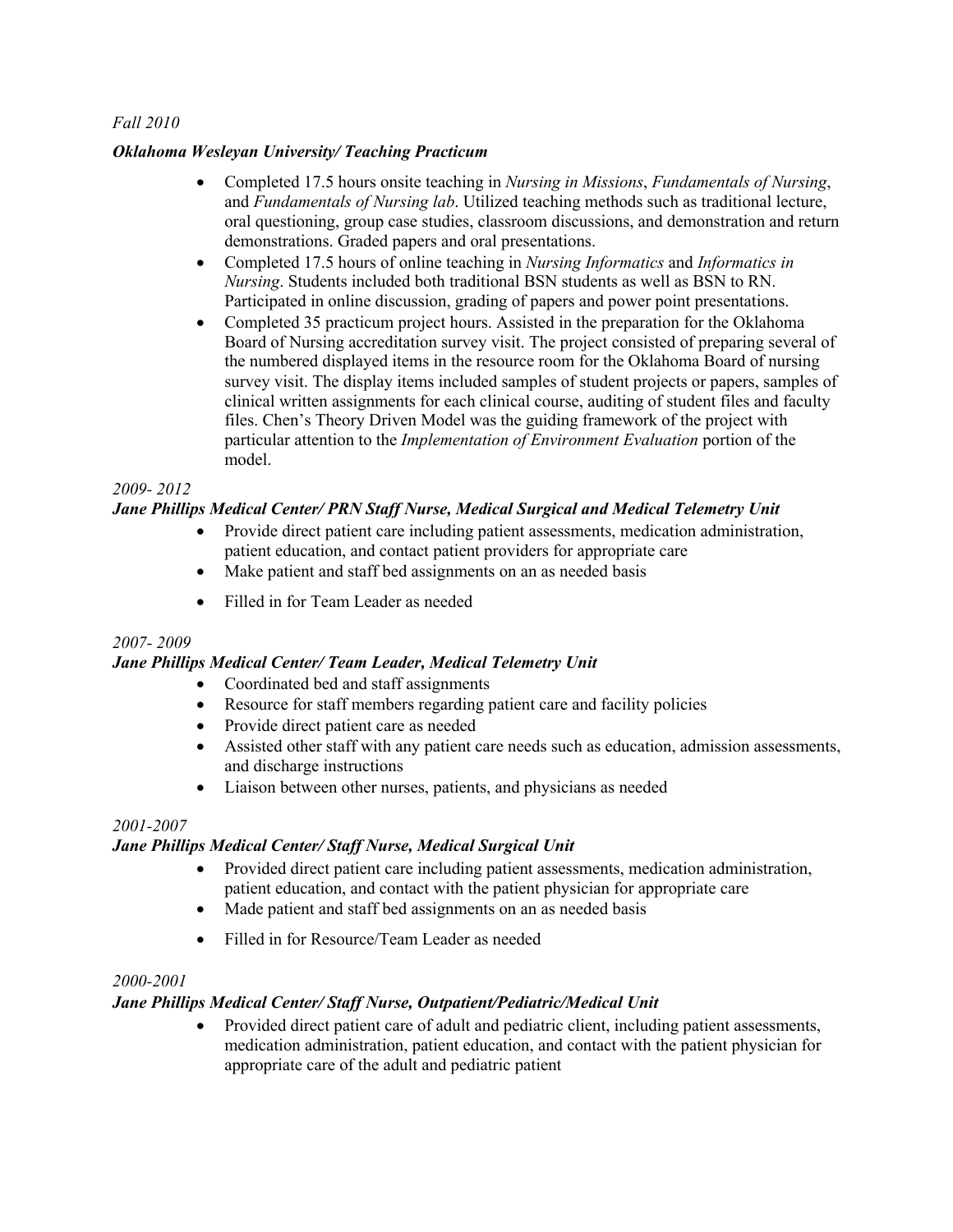#### *Fall 2010*

#### *Oklahoma Wesleyan University/ Teaching Practicum*

- Completed 17.5 hours onsite teaching in *Nursing in Missions*, *Fundamentals of Nursing*, and *Fundamentals of Nursing lab*. Utilized teaching methods such as traditional lecture, oral questioning, group case studies, classroom discussions, and demonstration and return demonstrations. Graded papers and oral presentations.
- Completed 17.5 hours of online teaching in *Nursing Informatics* and *Informatics in Nursing*. Students included both traditional BSN students as well as BSN to RN. Participated in online discussion, grading of papers and power point presentations.
- Completed 35 practicum project hours. Assisted in the preparation for the Oklahoma Board of Nursing accreditation survey visit. The project consisted of preparing several of the numbered displayed items in the resource room for the Oklahoma Board of nursing survey visit. The display items included samples of student projects or papers, samples of clinical written assignments for each clinical course, auditing of student files and faculty files. Chen's Theory Driven Model was the guiding framework of the project with particular attention to the *Implementation of Environment Evaluation* portion of the model.

#### *2009- 2012*

#### *Jane Phillips Medical Center/ PRN Staff Nurse, Medical Surgical and Medical Telemetry Unit*

- Provide direct patient care including patient assessments, medication administration, patient education, and contact patient providers for appropriate care
- Make patient and staff bed assignments on an as needed basis
- Filled in for Team Leader as needed

#### *2007- 2009*

#### *Jane Phillips Medical Center/ Team Leader, Medical Telemetry Unit*

- Coordinated bed and staff assignments
- Resource for staff members regarding patient care and facility policies
- Provide direct patient care as needed
- Assisted other staff with any patient care needs such as education, admission assessments, and discharge instructions
- Liaison between other nurses, patients, and physicians as needed

#### *2001-2007*

#### *Jane Phillips Medical Center/ Staff Nurse, Medical Surgical Unit*

- Provided direct patient care including patient assessments, medication administration, patient education, and contact with the patient physician for appropriate care
- Made patient and staff bed assignments on an as needed basis
- Filled in for Resource/Team Leader as needed

#### *2000-2001*

#### *Jane Phillips Medical Center/ Staff Nurse, Outpatient/Pediatric/Medical Unit*

• Provided direct patient care of adult and pediatric client, including patient assessments, medication administration, patient education, and contact with the patient physician for appropriate care of the adult and pediatric patient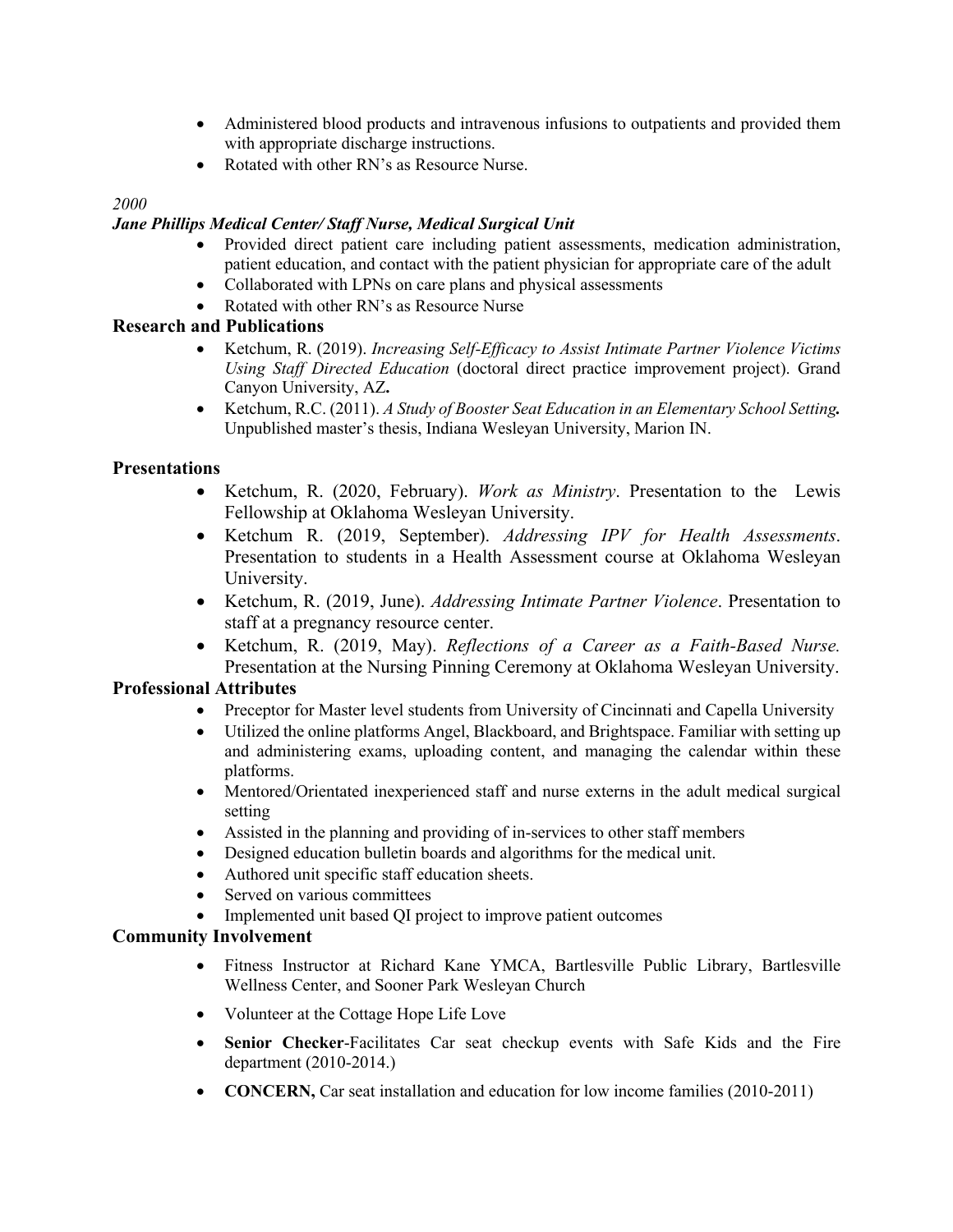- Administered blood products and intravenous infusions to outpatients and provided them with appropriate discharge instructions.
- Rotated with other RN's as Resource Nurse.

#### *2000*

#### *Jane Phillips Medical Center/ Staff Nurse, Medical Surgical Unit*

- Provided direct patient care including patient assessments, medication administration, patient education, and contact with the patient physician for appropriate care of the adult
- Collaborated with LPNs on care plans and physical assessments
- Rotated with other RN's as Resource Nurse

#### **Research and Publications**

- Ketchum, R. (2019). *Increasing Self-Efficacy to Assist Intimate Partner Violence Victims Using Staff Directed Education* (doctoral direct practice improvement project). Grand Canyon University, AZ**.**
- Ketchum, R.C. (2011). *A Study of Booster Seat Education in an Elementary School Setting.* Unpublished master's thesis, Indiana Wesleyan University, Marion IN.

#### **Presentations**

- Ketchum, R. (2020, February). *Work as Ministry*. Presentation to the Lewis Fellowship at Oklahoma Wesleyan University.
- Ketchum R. (2019, September). *Addressing IPV for Health Assessments*. Presentation to students in a Health Assessment course at Oklahoma Wesleyan University.
- Ketchum, R. (2019, June). *Addressing Intimate Partner Violence*. Presentation to staff at a pregnancy resource center.
- Ketchum, R. (2019, May). *Reflections of a Career as a Faith-Based Nurse.* Presentation at the Nursing Pinning Ceremony at Oklahoma Wesleyan University.

#### **Professional Attributes**

- Preceptor for Master level students from University of Cincinnati and Capella University
- Utilized the online platforms Angel, Blackboard, and Brightspace. Familiar with setting up and administering exams, uploading content, and managing the calendar within these platforms.
- Mentored/Orientated inexperienced staff and nurse externs in the adult medical surgical setting
- Assisted in the planning and providing of in-services to other staff members
- Designed education bulletin boards and algorithms for the medical unit.
- Authored unit specific staff education sheets.
- Served on various committees
- Implemented unit based QI project to improve patient outcomes

### **Community Involvement**

- Fitness Instructor at Richard Kane YMCA, Bartlesville Public Library, Bartlesville Wellness Center, and Sooner Park Wesleyan Church
- Volunteer at the Cottage Hope Life Love
- **Senior Checker**-Facilitates Car seat checkup events with Safe Kids and the Fire department (2010-2014.)
- **CONCERN**, Car seat installation and education for low income families (2010-2011)